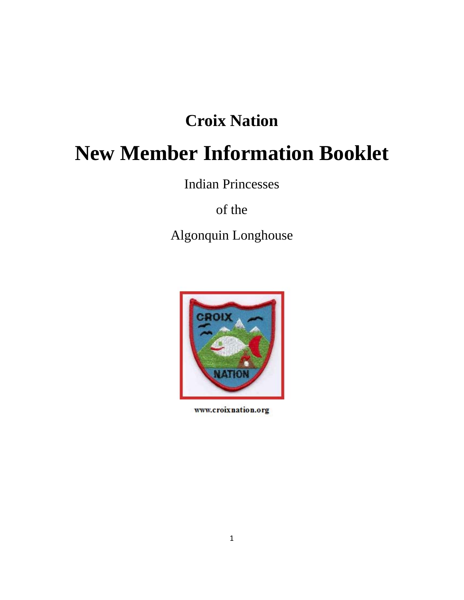## **Croix Nation**

# **New Member Information Booklet**

Indian Princesses

of the

Algonquin Longhouse



www.croixnation.org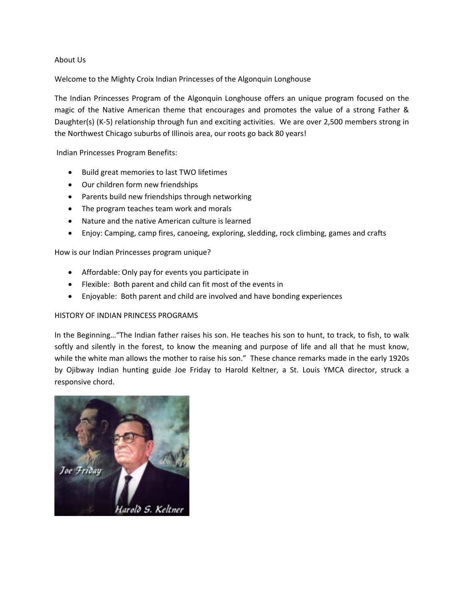#### About Us

Welcome to the Mighty Croix Indian Princesses of the Algonquin Longhouse

The Indian Princesses Program of the Algonquin Longhouse offers an unique program focused on the magic of the Native American theme that encourages and promotes the value of a strong Father & Daughter(s) (K-5) relationship through fun and exciting activities. We are over 2,500 members strong in the Northwest Chicago suburbs of Illinois area, our roots go back 80 years!

Indian Princesses Program Benefits:

- Build great memories to last TWO lifetimes
- Our children form new friendships
- Parents build new friendships through networking
- The program teaches team work and morals
- Nature and the native American culture is learned
- Enjoy: Camping, camp fires, canoeing, exploring, sledding, rock climbing, games and crafts

#### How is our Indian Princesses program unique?

- Affordable: Only pay for events you participate in
- Flexible: Both parent and child can fit most of the events in
- Enjoyable: Both parent and child are involved and have bonding experiences

#### HISTORY OF INDIAN PRINCESS PROGRAMS

In the Beginning…"The Indian father raises his son. He teaches his son to hunt, to track, to fish, to walk softly and silently in the forest, to know the meaning and purpose of life and all that he must know, while the white man allows the mother to raise his son." These chance remarks made in the early 1920s by Ojibway Indian hunting guide Joe Friday to Harold Keltner, a St. Louis YMCA director, struck a responsive chord.

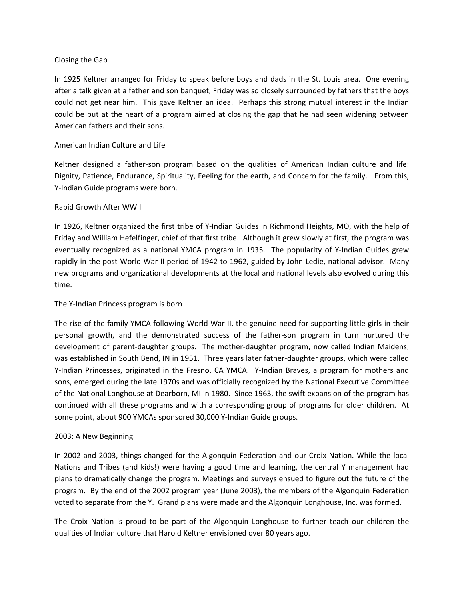#### Closing the Gap

In 1925 Keltner arranged for Friday to speak before boys and dads in the St. Louis area. One evening after a talk given at a father and son banquet, Friday was so closely surrounded by fathers that the boys could not get near him. This gave Keltner an idea. Perhaps this strong mutual interest in the Indian could be put at the heart of a program aimed at closing the gap that he had seen widening between American fathers and their sons.

#### American Indian Culture and Life

Keltner designed a father-son program based on the qualities of American Indian culture and life: Dignity, Patience, Endurance, Spirituality, Feeling for the earth, and Concern for the family. From this, Y‐Indian Guide programs were born.

#### Rapid Growth After WWII

In 1926, Keltner organized the first tribe of Y‐Indian Guides in Richmond Heights, MO, with the help of Friday and William Hefelfinger, chief of that first tribe. Although it grew slowly at first, the program was eventually recognized as a national YMCA program in 1935. The popularity of Y-Indian Guides grew rapidly in the post-World War II period of 1942 to 1962, guided by John Ledie, national advisor. Many new programs and organizational developments at the local and national levels also evolved during this time.

#### The Y‐Indian Princess program is born

The rise of the family YMCA following World War II, the genuine need for supporting little girls in their personal growth, and the demonstrated success of the father‐son program in turn nurtured the development of parent‐daughter groups. The mother‐daughter program, now called Indian Maidens, was established in South Bend, IN in 1951. Three years later father-daughter groups, which were called Y-Indian Princesses, originated in the Fresno, CA YMCA. Y-Indian Braves, a program for mothers and sons, emerged during the late 1970s and was officially recognized by the National Executive Committee of the National Longhouse at Dearborn, MI in 1980. Since 1963, the swift expansion of the program has continued with all these programs and with a corresponding group of programs for older children. At some point, about 900 YMCAs sponsored 30,000 Y‐Indian Guide groups.

#### 2003: A New Beginning

In 2002 and 2003, things changed for the Algonquin Federation and our Croix Nation. While the local Nations and Tribes (and kids!) were having a good time and learning, the central Y management had plans to dramatically change the program. Meetings and surveys ensued to figure out the future of the program. By the end of the 2002 program year (June 2003), the members of the Algonquin Federation voted to separate from the Y. Grand plans were made and the Algonquin Longhouse, Inc. was formed.

The Croix Nation is proud to be part of the Algonquin Longhouse to further teach our children the qualities of Indian culture that Harold Keltner envisioned over 80 years ago.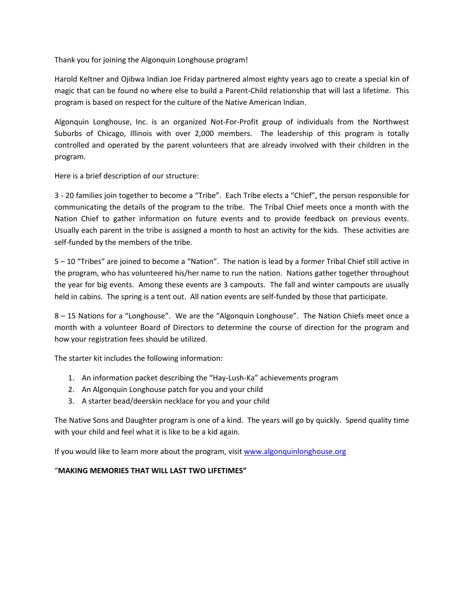Thank you for joining the Algonquin Longhouse program!

Harold Keltner and Ojibwa Indian Joe Friday partnered almost eighty years ago to create a special kin of magic that can be found no where else to build a Parent‐Child relationship that will last a lifetime. This program is based on respect for the culture of the Native American Indian.

Algonquin Longhouse, Inc. is an organized Not‐For‐Profit group of individuals from the Northwest Suburbs of Chicago, Illinois with over 2,000 members. The leadership of this program is totally controlled and operated by the parent volunteers that are already involved with their children in the program.

Here is a brief description of our structure:

3 ‐ 20 families join together to become a "Tribe". Each Tribe elects a "Chief", the person responsible for communicating the details of the program to the tribe. The Tribal Chief meets once a month with the Nation Chief to gather information on future events and to provide feedback on previous events. Usually each parent in the tribe is assigned a month to host an activity for the kids. These activities are self-funded by the members of the tribe.

5 – 10 "Tribes" are joined to become a "Nation". The nation is lead by a former Tribal Chief still active in the program, who has volunteered his/her name to run the nation. Nations gather together throughout the year for big events. Among these events are 3 campouts. The fall and winter campouts are usually held in cabins. The spring is a tent out. All nation events are self-funded by those that participate.

8 – 15 Nations for a "Longhouse". We are the "Algonquin Longhouse". The Nation Chiefs meet once a month with a volunteer Board of Directors to determine the course of direction for the program and how your registration fees should be utilized.

The starter kit includes the following information:

- 1. An information packet describing the "Hay‐Lush‐Ka" achievements program
- 2. An Algonquin Longhouse patch for you and your child
- 3. A starter bead/deerskin necklace for you and your child

The Native Sons and Daughter program is one of a kind. The years will go by quickly. Spend quality time with your child and feel what it is like to be a kid again.

If you would like to learn more about the program, visit www.algonquinlonghouse.org

#### "**MAKING MEMORIES THAT WILL LAST TWO LIFETIMES"**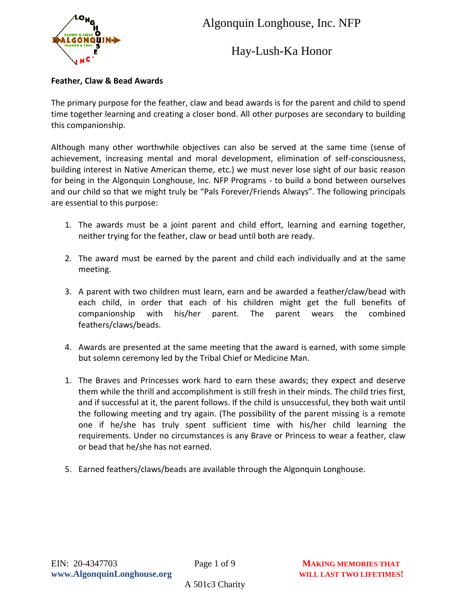

Hay-Lush-Ka Honor

#### **Feather, Claw & Bead Awards**

The primary purpose for the feather, claw and bead awards is for the parent and child to spend time together learning and creating a closer bond. All other purposes are secondary to building this companionship.

Although many other worthwhile objectives can also be served at the same time (sense of achievement, increasing mental and moral development, elimination of self-consciousness, building interest in Native American theme, etc.) we must never lose sight of our basic reason for being in the Algonquin Longhouse, Inc. NFP Programs - to build a bond between ourselves and our child so that we might truly be "Pals Forever/Friends Always". The following principals are essential to this purpose:

- 1. The awards must be a joint parent and child effort, learning and earning together, neither trying for the feather, claw or bead until both are ready.
- 2. The award must be earned by the parent and child each individually and at the same meeting.
- 3. A parent with two children must learn, earn and be awarded a feather/claw/bead with each child, in order that each of his children might get the full benefits of companionship with his/her parent. The parent wears the combined feathers/claws/beads.
- 4. Awards are presented at the same meeting that the award is earned, with some simple but solemn ceremony led by the Tribal Chief or Medicine Man.
- 1. The Braves and Princesses work hard to earn these awards; they expect and deserve them while the thrill and accomplishment is still fresh in their minds. The child tries first, and if successful at it, the parent follows. If the child is unsuccessful, they both wait until the following meeting and try again. (The possibility of the parent missing is a remote one if he/she has truly spent sufficient time with his/her child learning the requirements. Under no circumstances is any Brave or Princess to wear a feather, claw or bead that he/she has not earned.
- 5. Earned feathers/claws/beads are available through the Algonquin Longhouse.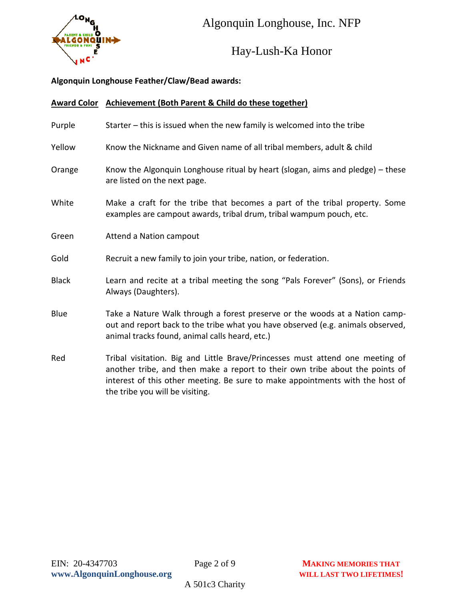

Hay-Lush-Ka Honor

#### **Algonquin Longhouse Feather/Claw/Bead awards:**

|              | Award Color Achievement (Both Parent & Child do these together)                                                                                                                                                                                                                   |  |  |
|--------------|-----------------------------------------------------------------------------------------------------------------------------------------------------------------------------------------------------------------------------------------------------------------------------------|--|--|
| Purple       | Starter – this is issued when the new family is welcomed into the tribe                                                                                                                                                                                                           |  |  |
| Yellow       | Know the Nickname and Given name of all tribal members, adult & child                                                                                                                                                                                                             |  |  |
| Orange       | Know the Algonquin Longhouse ritual by heart (slogan, aims and pledge) - these<br>are listed on the next page.                                                                                                                                                                    |  |  |
| White        | Make a craft for the tribe that becomes a part of the tribal property. Some<br>examples are campout awards, tribal drum, tribal wampum pouch, etc.                                                                                                                                |  |  |
| Green        | Attend a Nation campout                                                                                                                                                                                                                                                           |  |  |
| Gold         | Recruit a new family to join your tribe, nation, or federation.                                                                                                                                                                                                                   |  |  |
| <b>Black</b> | Learn and recite at a tribal meeting the song "Pals Forever" (Sons), or Friends<br>Always (Daughters).                                                                                                                                                                            |  |  |
| Blue         | Take a Nature Walk through a forest preserve or the woods at a Nation camp-<br>out and report back to the tribe what you have observed (e.g. animals observed,<br>animal tracks found, animal calls heard, etc.)                                                                  |  |  |
| Red          | Tribal visitation. Big and Little Brave/Princesses must attend one meeting of<br>another tribe, and then make a report to their own tribe about the points of<br>interest of this other meeting. Be sure to make appointments with the host of<br>the tribe you will be visiting. |  |  |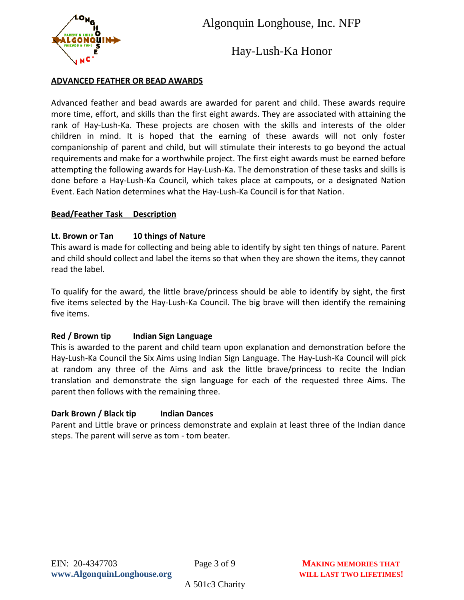

Hay-Lush-Ka Honor

#### **ADVANCED FEATHER OR BEAD AWARDS**

Advanced feather and bead awards are awarded for parent and child. These awards require more time, effort, and skills than the first eight awards. They are associated with attaining the rank of Hay-Lush-Ka. These projects are chosen with the skills and interests of the older children in mind. It is hoped that the earning of these awards will not only foster companionship of parent and child, but will stimulate their interests to go beyond the actual requirements and make for a worthwhile project. The first eight awards must be earned before attempting the following awards for Hay-Lush-Ka. The demonstration of these tasks and skills is done before a Hay-Lush-Ka Council, which takes place at campouts, or a designated Nation Event. Each Nation determines what the Hay-Lush-Ka Council is for that Nation.

#### **Bead/Feather Task Description**

#### **Lt. Brown or Tan 10 things of Nature**

This award is made for collecting and being able to identify by sight ten things of nature. Parent and child should collect and label the items so that when they are shown the items, they cannot read the label.

To qualify for the award, the little brave/princess should be able to identify by sight, the first five items selected by the Hay-Lush-Ka Council. The big brave will then identify the remaining five items.

#### **Red / Brown tip Indian Sign Language**

This is awarded to the parent and child team upon explanation and demonstration before the Hay-Lush-Ka Council the Six Aims using Indian Sign Language. The Hay-Lush-Ka Council will pick at random any three of the Aims and ask the little brave/princess to recite the Indian translation and demonstrate the sign language for each of the requested three Aims. The parent then follows with the remaining three.

#### **Dark Brown / Black tip Indian Dances**

Parent and Little brave or princess demonstrate and explain at least three of the Indian dance steps. The parent will serve as tom - tom beater.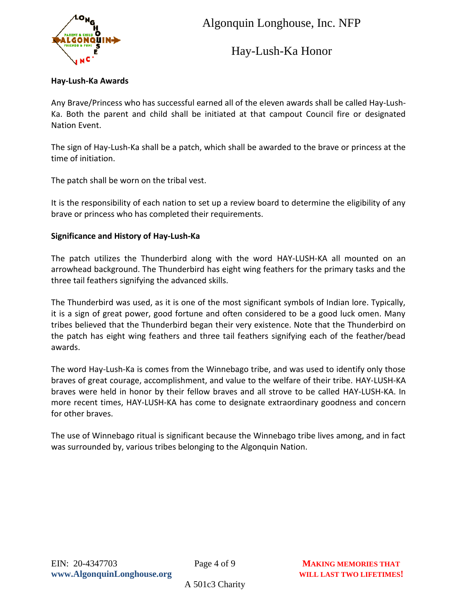

Hay-Lush-Ka Honor

#### **Hay-Lush-Ka Awards**

Any Brave/Princess who has successful earned all of the eleven awards shall be called Hay-Lush-Ka. Both the parent and child shall be initiated at that campout Council fire or designated Nation Event.

The sign of Hay-Lush-Ka shall be a patch, which shall be awarded to the brave or princess at the time of initiation.

The patch shall be worn on the tribal vest.

It is the responsibility of each nation to set up a review board to determine the eligibility of any brave or princess who has completed their requirements.

#### **Significance and History of Hay-Lush-Ka**

The patch utilizes the Thunderbird along with the word HAY-LUSH-KA all mounted on an arrowhead background. The Thunderbird has eight wing feathers for the primary tasks and the three tail feathers signifying the advanced skills.

The Thunderbird was used, as it is one of the most significant symbols of Indian lore. Typically, it is a sign of great power, good fortune and often considered to be a good luck omen. Many tribes believed that the Thunderbird began their very existence. Note that the Thunderbird on the patch has eight wing feathers and three tail feathers signifying each of the feather/bead awards.

The word Hay-Lush-Ka is comes from the Winnebago tribe, and was used to identify only those braves of great courage, accomplishment, and value to the welfare of their tribe. HAY-LUSH-KA braves were held in honor by their fellow braves and all strove to be called HAY-LUSH-KA. In more recent times, HAY-LUSH-KA has come to designate extraordinary goodness and concern for other braves.

The use of Winnebago ritual is significant because the Winnebago tribe lives among, and in fact was surrounded by, various tribes belonging to the Algonquin Nation.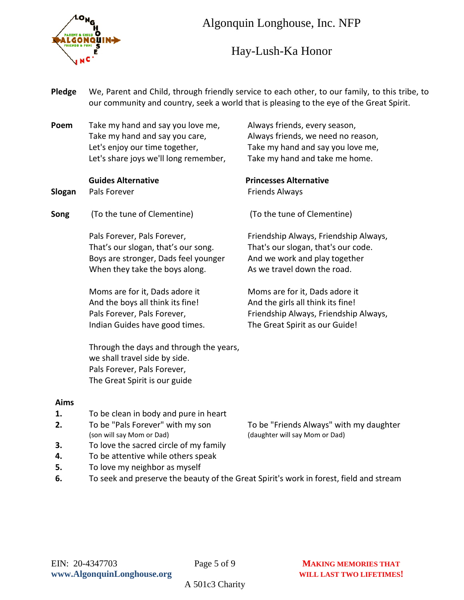

## Hay-Lush-Ka Honor

| Pledge | We, Parent and Child, through friendly service to each other, to our family, to this tribe, to<br>our community and country, seek a world that is pleasing to the eye of the Great Spirit. |                                                                                                                                                |  |
|--------|--------------------------------------------------------------------------------------------------------------------------------------------------------------------------------------------|------------------------------------------------------------------------------------------------------------------------------------------------|--|
| Poem   | Take my hand and say you love me,<br>Take my hand and say you care,<br>Let's enjoy our time together,<br>Let's share joys we'll long remember,                                             | Always friends, every season,<br>Always friends, we need no reason,<br>Take my hand and say you love me,<br>Take my hand and take me home.     |  |
| Slogan | <b>Guides Alternative</b><br>Pals Forever                                                                                                                                                  | <b>Princesses Alternative</b><br><b>Friends Always</b>                                                                                         |  |
| Song   | (To the tune of Clementine)                                                                                                                                                                | (To the tune of Clementine)                                                                                                                    |  |
|        | Pals Forever, Pals Forever,<br>That's our slogan, that's our song.<br>Boys are stronger, Dads feel younger<br>When they take the boys along.                                               | Friendship Always, Friendship Always,<br>That's our slogan, that's our code.<br>And we work and play together<br>As we travel down the road.   |  |
|        | Moms are for it, Dads adore it<br>And the boys all think its fine!<br>Pals Forever, Pals Forever,<br>Indian Guides have good times.                                                        | Moms are for it, Dads adore it<br>And the girls all think its fine!<br>Friendship Always, Friendship Always,<br>The Great Spirit as our Guide! |  |
|        | Through the days and through the years,<br>we shall travel side by side.<br>Pals Forever, Pals Forever,<br>The Great Spirit is our guide                                                   |                                                                                                                                                |  |
| Aims   |                                                                                                                                                                                            |                                                                                                                                                |  |
| 1.     | To be clean in body and pure in heart                                                                                                                                                      |                                                                                                                                                |  |
| z.     | To be "Pals Forever" with my son<br>(son will say Mom or Dad)                                                                                                                              | To be "Friends Always" with my daughter<br>(daughter will say Mom or Dad)                                                                      |  |
| 3.     | To love the sacred circle of my family                                                                                                                                                     |                                                                                                                                                |  |
| 4.     | To be attentive while others speak                                                                                                                                                         |                                                                                                                                                |  |
| 5.     | To love my neighbor as myself                                                                                                                                                              |                                                                                                                                                |  |
| 6.     | To seek and preserve the beauty of the Great Spirit's work in forest, field and stream                                                                                                     |                                                                                                                                                |  |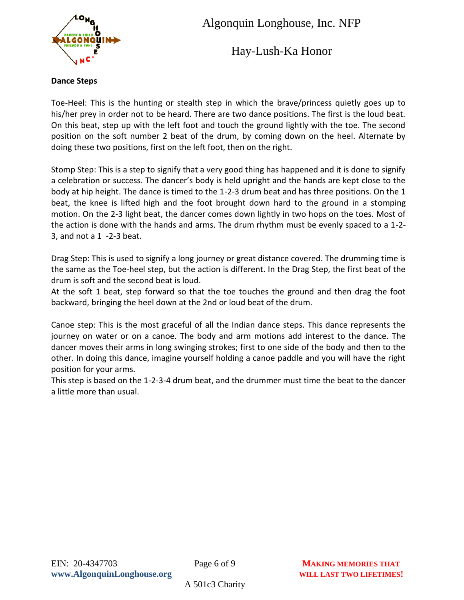

Hay-Lush-Ka Honor

#### **Dance Steps**

Toe-Heel: This is the hunting or stealth step in which the brave/princess quietly goes up to his/her prey in order not to be heard. There are two dance positions. The first is the loud beat. On this beat, step up with the left foot and touch the ground lightly with the toe. The second position on the soft number 2 beat of the drum, by coming down on the heel. Alternate by doing these two positions, first on the left foot, then on the right.

Stomp Step: This is a step to signify that a very good thing has happened and it is done to signify a celebration or success. The dancer's body is held upright and the hands are kept close to the body at hip height. The dance is timed to the 1-2-3 drum beat and has three positions. On the 1 beat, the knee is lifted high and the foot brought down hard to the ground in a stomping motion. On the 2-3 light beat, the dancer comes down lightly in two hops on the toes. Most of the action is done with the hands and arms. The drum rhythm must be evenly spaced to a 1-2- 3, and not a 1 -2-3 beat.

Drag Step: This is used to signify a long journey or great distance covered. The drumming time is the same as the Toe-heel step, but the action is different. In the Drag Step, the first beat of the drum is soft and the second beat is loud.

At the soft 1 beat, step forward so that the toe touches the ground and then drag the foot backward, bringing the heel down at the 2nd or loud beat of the drum.

Canoe step: This is the most graceful of all the Indian dance steps. This dance represents the journey on water or on a canoe. The body and arm motions add interest to the dance. The dancer moves their arms in long swinging strokes; first to one side of the body and then to the other. In doing this dance, imagine yourself holding a canoe paddle and you will have the right position for your arms.

This step is based on the 1-2-3-4 drum beat, and the drummer must time the beat to the dancer a little more than usual.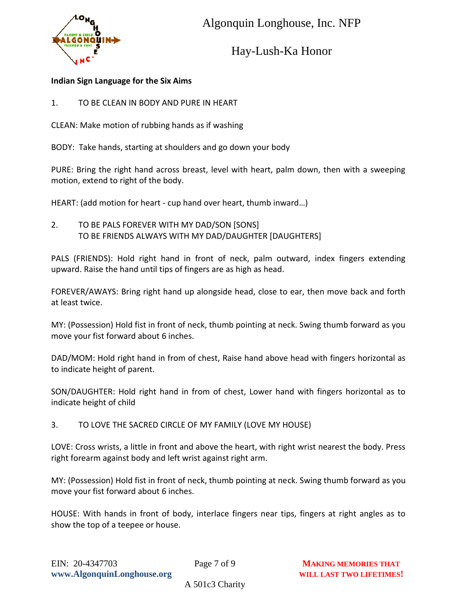



Hay-Lush-Ka Honor

#### **Indian Sign Language for the Six Aims**

1. TO BE CLEAN IN BODY AND PURE IN HEART

CLEAN: Make motion of rubbing hands as if washing

BODY: Take hands, starting at shoulders and go down your body

PURE: Bring the right hand across breast, level with heart, palm down, then with a sweeping motion, extend to right of the body.

HEART: (add motion for heart - cup hand over heart, thumb inward…)

2. TO BE PALS FOREVER WITH MY DAD/SON [SONS] TO BE FRIENDS ALWAYS WITH MY DAD/DAUGHTER [DAUGHTERS]

PALS (FRIENDS): Hold right hand in front of neck, palm outward, index fingers extending upward. Raise the hand until tips of fingers are as high as head.

FOREVER/AWAYS: Bring right hand up alongside head, close to ear, then move back and forth at least twice.

MY: (Possession) Hold fist in front of neck, thumb pointing at neck. Swing thumb forward as you move your fist forward about 6 inches.

DAD/MOM: Hold right hand in from of chest, Raise hand above head with fingers horizontal as to indicate height of parent.

SON/DAUGHTER: Hold right hand in from of chest, Lower hand with fingers horizontal as to indicate height of child

3. TO LOVE THE SACRED CIRCLE OF MY FAMILY (LOVE MY HOUSE)

LOVE: Cross wrists, a little in front and above the heart, with right wrist nearest the body. Press right forearm against body and left wrist against right arm.

MY: (Possession) Hold fist in front of neck, thumb pointing at neck. Swing thumb forward as you move your fist forward about 6 inches.

HOUSE: With hands in front of body, interlace fingers near tips, fingers at right angles as to show the top of a teepee or house.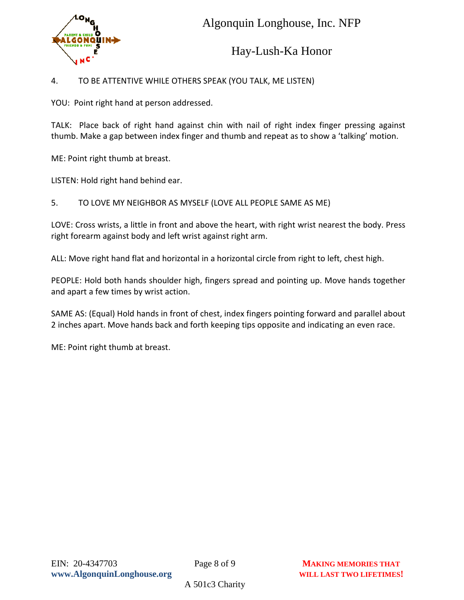

### Hay-Lush-Ka Honor

#### 4. TO BE ATTENTIVE WHILE OTHERS SPEAK (YOU TALK, ME LISTEN)

YOU: Point right hand at person addressed.

TALK: Place back of right hand against chin with nail of right index finger pressing against thumb. Make a gap between index finger and thumb and repeat as to show a 'talking' motion.

ME: Point right thumb at breast.

LISTEN: Hold right hand behind ear.

5. TO LOVE MY NEIGHBOR AS MYSELF (LOVE ALL PEOPLE SAME AS ME)

LOVE: Cross wrists, a little in front and above the heart, with right wrist nearest the body. Press right forearm against body and left wrist against right arm.

ALL: Move right hand flat and horizontal in a horizontal circle from right to left, chest high.

PEOPLE: Hold both hands shoulder high, fingers spread and pointing up. Move hands together and apart a few times by wrist action.

SAME AS: (Equal) Hold hands in front of chest, index fingers pointing forward and parallel about 2 inches apart. Move hands back and forth keeping tips opposite and indicating an even race.

ME: Point right thumb at breast.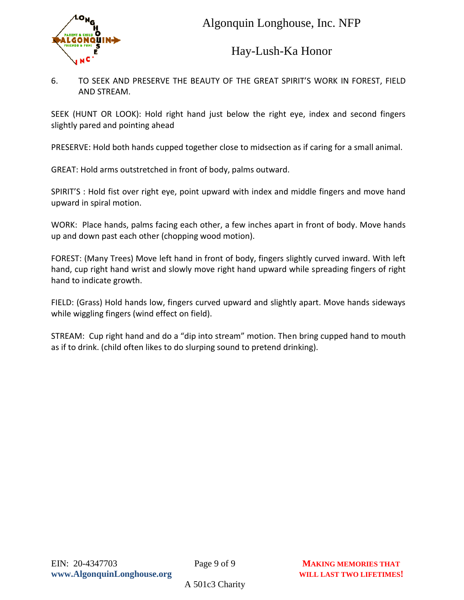

Hay-Lush-Ka Honor

6. TO SEEK AND PRESERVE THE BEAUTY OF THE GREAT SPIRIT'S WORK IN FOREST, FIELD AND STREAM.

SEEK (HUNT OR LOOK): Hold right hand just below the right eye, index and second fingers slightly pared and pointing ahead

PRESERVE: Hold both hands cupped together close to midsection as if caring for a small animal.

GREAT: Hold arms outstretched in front of body, palms outward.

SPIRIT'S : Hold fist over right eye, point upward with index and middle fingers and move hand upward in spiral motion.

WORK: Place hands, palms facing each other, a few inches apart in front of body. Move hands up and down past each other (chopping wood motion).

FOREST: (Many Trees) Move left hand in front of body, fingers slightly curved inward. With left hand, cup right hand wrist and slowly move right hand upward while spreading fingers of right hand to indicate growth.

FIELD: (Grass) Hold hands low, fingers curved upward and slightly apart. Move hands sideways while wiggling fingers (wind effect on field).

STREAM: Cup right hand and do a "dip into stream" motion. Then bring cupped hand to mouth as if to drink. (child often likes to do slurping sound to pretend drinking).